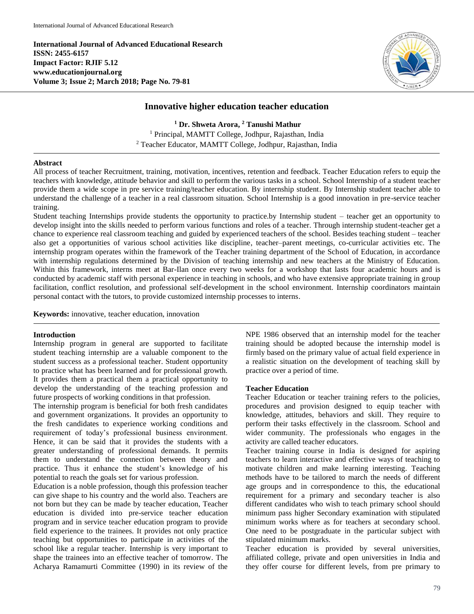**International Journal of Advanced Educational Research ISSN: 2455-6157 Impact Factor: RJIF 5.12 www.educationjournal.org Volume 3; Issue 2; March 2018; Page No. 79-81**



## **Innovative higher education teacher education**

**<sup>1</sup> Dr. Shweta Arora, <sup>2</sup> Tanushi Mathur** <sup>1</sup> Principal, MAMTT College, Jodhpur, Rajasthan, India <sup>2</sup> Teacher Educator, MAMTT College, Jodhpur, Rajasthan, India

#### **Abstract**

All process of teacher Recruitment, training, motivation, incentives, retention and feedback. Teacher Education refers to equip the teachers with knowledge, attitude behavior and skill to perform the various tasks in a school. School Internship of a student teacher provide them a wide scope in pre service training/teacher education. By internship student. By Internship student teacher able to understand the challenge of a teacher in a real classroom situation. School Internship is a good innovation in pre-service teacher training.

Student teaching Internships provide students the opportunity to practice.by Internship student – teacher get an opportunity to develop insight into the skills needed to perform various functions and roles of a teacher. Through internship student-teacher get a chance to experience real classroom teaching and guided by experienced teachers of the school. Besides teaching student – teacher also get a opportunities of various school activities like discipline, teacher–parent meetings, co-curricular activities etc. The internship program operates within the framework of the Teacher training department of the School of Education, in accordance with internship regulations determined by the Division of teaching internship and new teachers at the Ministry of Education. Within this framework, interns meet at Bar-Ilan once every two weeks for a workshop that lasts four academic hours and is conducted by academic staff with personal experience in teaching in schools, and who have extensive appropriate training in group facilitation, conflict resolution, and professional self-development in the school environment. Internship coordinators maintain personal contact with the tutors, to provide customized internship processes to interns.

**Keywords:** innovative, teacher education, innovation

### **Introduction**

Internship program in general are supported to facilitate student teaching internship are a valuable component to the student success as a professional teacher. Student opportunity to practice what has been learned and for professional growth. It provides them a practical them a practical opportunity to develop the understanding of the teaching profession and future prospects of working conditions in that profession.

The internship program is beneficial for both fresh candidates and government organizations. It provides an opportunity to the fresh candidates to experience working conditions and requirement of today's professional business environment. Hence, it can be said that it provides the students with a greater understanding of professional demands. It permits them to understand the connection between theory and practice. Thus it enhance the student's knowledge of his potential to reach the goals set for various profession.

Education is a noble profession, though this profession teacher can give shape to his country and the world also. Teachers are not born but they can be made by teacher education, Teacher education is divided into pre-service teacher education program and in service teacher education program to provide field experience to the trainees. It provides not only practice teaching but opportunities to participate in activities of the school like a regular teacher. Internship is very important to shape the trainees into an effective teacher of tomorrow. The Acharya Ramamurti Committee (1990) in its review of the

NPE 1986 observed that an internship model for the teacher training should be adopted because the internship model is firmly based on the primary value of actual field experience in a realistic situation on the development of teaching skill by practice over a period of time.

#### **Teacher Education**

Teacher Education or teacher training refers to the policies, procedures and provision designed to equip teacher with knowledge, attitudes, behaviors and skill. They require to perform their tasks effectively in the classroom. School and wider community. The professionals who engages in the activity are called teacher educators.

Teacher training course in India is designed for aspiring teachers to learn interactive and effective ways of teaching to motivate children and make learning interesting. Teaching methods have to be tailored to march the needs of different age groups and in correspondence to this, the educational requirement for a primary and secondary teacher is also different candidates who wish to teach primary school should minimum pass higher Secondary examination with stipulated minimum works where as for teachers at secondary school. One need to be postgraduate in the particular subject with stipulated minimum marks.

Teacher education is provided by several universities, affiliated college, private and open universities in India and they offer course for different levels, from pre primary to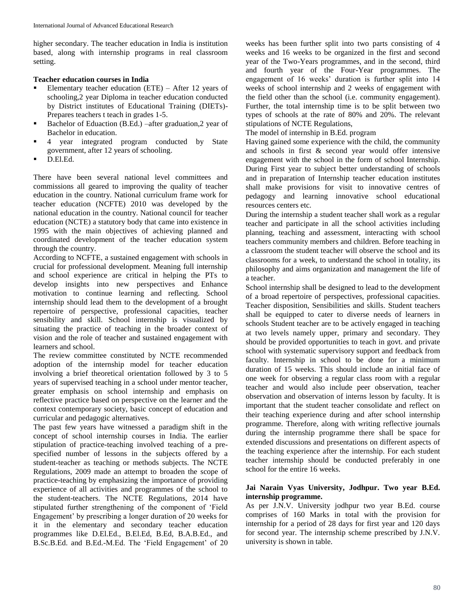higher secondary. The teacher education in India is institution based, along with internship programs in real classroom setting.

# **Teacher education courses in India**

- Elementary teacher education (ETE) After 12 years of schooling,2 year Diploma in teacher education conducted by District institutes of Educational Training (DIETs)- Prepares teachers t teach in grades 1-5.
- Bachelor of Eduaction (B.Ed.) –after graduation,2 year of Bachelor in education.
- 4 year integrated program conducted by State government, after 12 years of schooling.
- D.El.Ed.

There have been several national level committees and commissions all geared to improving the quality of teacher education in the country. National curriculum frame work for teacher education (NCFTE) 2010 was developed by the national education in the country. National council for teacher education (NCTE) a statutory body that came into existence in 1995 with the main objectives of achieving planned and coordinated development of the teacher education system through the country.

According to NCFTE, a sustained engagement with schools in crucial for professional development. Meaning full internship and school experience are critical in helping the PTs to develop insights into new perspectives and Enhance motivation to continue learning and reflecting. School internship should lead them to the development of a brought repertoire of perspective, professional capacities, teacher sensibility and skill. School internship is visualized by situating the practice of teaching in the broader context of vision and the role of teacher and sustained engagement with learners and school.

The review committee constituted by NCTE recommended adoption of the internship model for teacher education involving a brief theoretical orientation followed by 3 to 5 years of supervised teaching in a school under mentor teacher, greater emphasis on school internship and emphasis on reflective practice based on perspective on the learner and the context contemporary society, basic concept of education and curricular and pedagogic alternatives.

The past few years have witnessed a paradigm shift in the concept of school internship courses in India. The earlier stipulation of practice-teaching involved teaching of a prespecified number of lessons in the subjects offered by a student-teacher as teaching or methods subjects. The NCTE Regulations, 2009 made an attempt to broaden the scope of practice-teaching by emphasizing the importance of providing experience of all activities and programmes of the school to the student-teachers. The NCTE Regulations, 2014 have stipulated further strengthening of the component of 'Field Engagement' by prescribing a longer duration of 20 weeks for it in the elementary and secondary teacher education programmes like D.El.Ed., B.El.Ed, B.Ed, B.A.B.Ed., and B.Sc.B.Ed. and B.Ed.-M.Ed. The 'Field Engagement' of 20

weeks has been further split into two parts consisting of 4 weeks and 16 weeks to be organized in the first and second year of the Two-Years programmes, and in the second, third and fourth year of the Four-Year programmes. The engagement of 16 weeks' duration is further split into 14 weeks of school internship and 2 weeks of engagement with the field other than the school (i.e. community engagement). Further, the total internship time is to be split between two types of schools at the rate of 80% and 20%. The relevant stipulations of NCTE Regulations,

The model of internship in B.Ed. program

Having gained some experience with the child, the community and schools in first & second year would offer intensive engagement with the school in the form of school Internship. During First year to subject better understanding of schools and in preparation of Internship teacher education institutes shall make provisions for visit to innovative centres of pedagogy and learning innovative school educational resources centers etc.

During the internship a student teacher shall work as a regular teacher and participate in all the school activities including planning, teaching and assessment, interacting with school teachers community members and children. Before teaching in a classroom the student teacher will observe the school and its classrooms for a week, to understand the school in totality, its philosophy and aims organization and management the life of a teacher.

School internship shall be designed to lead to the development of a broad repertoire of perspectives, professional capacities. Teacher disposition, Sensibilities and skills. Student teachers shall be equipped to cater to diverse needs of learners in schools Student teacher are to be actively engaged in teaching at two levels namely upper, primary and secondary. They should be provided opportunities to teach in govt. and private school with systematic supervisory support and feedback from faculty. Internship in school to be done for a minimum duration of 15 weeks. This should include an initial face of one week for observing a regular class room with a regular teacher and would also include peer observation, teacher observation and observation of interns lesson by faculty. It is important that the student teacher consolidate and reflect on their teaching experience during and after school internship programme. Therefore, along with writing reflective journals during the internship programme there shall be space for extended discussions and presentations on different aspects of the teaching experience after the internship. For each student teacher internship should be conducted preferably in one school for the entire 16 weeks.

## **Jai Narain Vyas University, Jodhpur. Two year B.Ed. internship programme.**

As per J.N.V. University jodhpur two year B.Ed. course comprises of 160 Marks in total with the provision for internship for a period of 28 days for first year and 120 days for second year. The internship scheme prescribed by J.N.V. university is shown in table.